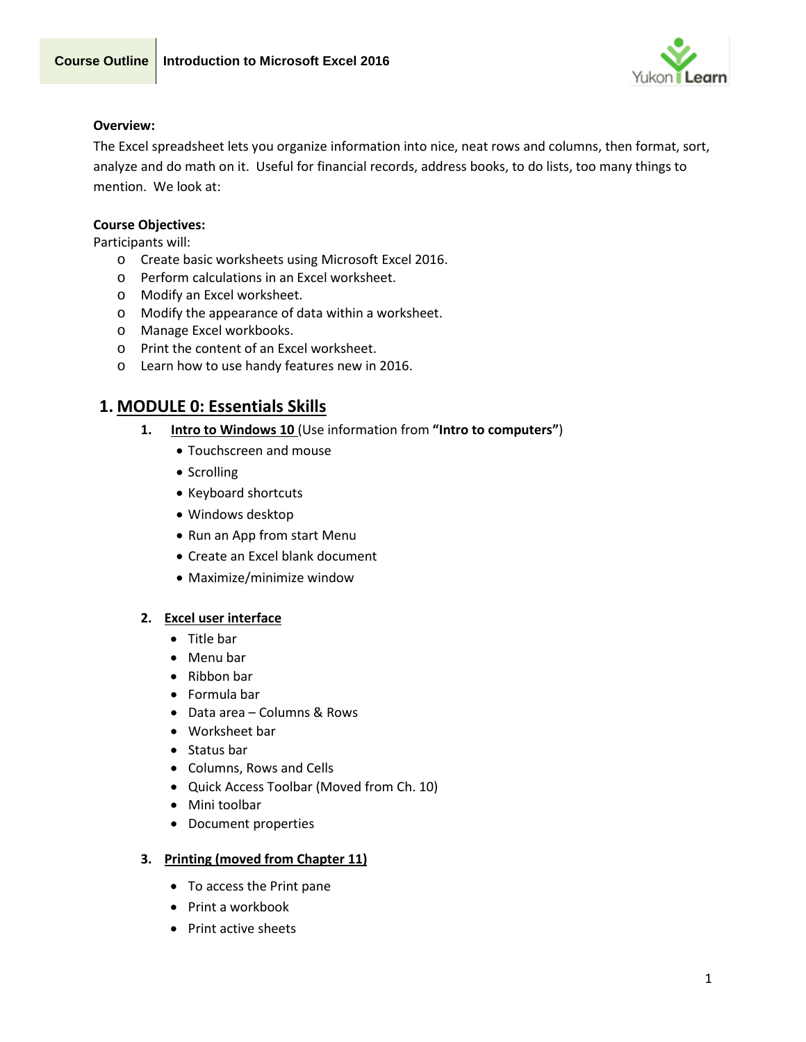

# **Overview:**

The Excel spreadsheet lets you organize information into nice, neat rows and columns, then format, sort, analyze and do math on it. Useful for financial records, address books, to do lists, too many things to mention. We look at:

# **Course Objectives:**

Participants will:

- o Create basic worksheets using Microsoft Excel 2016.
- o Perform calculations in an Excel worksheet.
- o Modify an Excel worksheet.
- o Modify the appearance of data within a worksheet.
- o Manage Excel workbooks.
- o Print the content of an Excel worksheet.
- o Learn how to use handy features new in 2016.

# **1. MODULE 0: Essentials Skills**

- **1. Intro to Windows 10** (Use information from **"Intro to computers"**)
	- Touchscreen and mouse
	- Scrolling
	- Keyboard shortcuts
	- Windows desktop
	- Run an App from start Menu
	- Create an Excel blank document
	- Maximize/minimize window

#### **2. Excel user interface**

- Title bar
- Menu bar
- Ribbon bar
- Formula bar
- Data area Columns & Rows
- Worksheet bar
- Status bar
- Columns, Rows and Cells
- Quick Access Toolbar (Moved from Ch. 10)
- Mini toolbar
- Document properties

#### **3. Printing (moved from Chapter 11)**

- To access the Print pane
- Print a workbook
- Print active sheets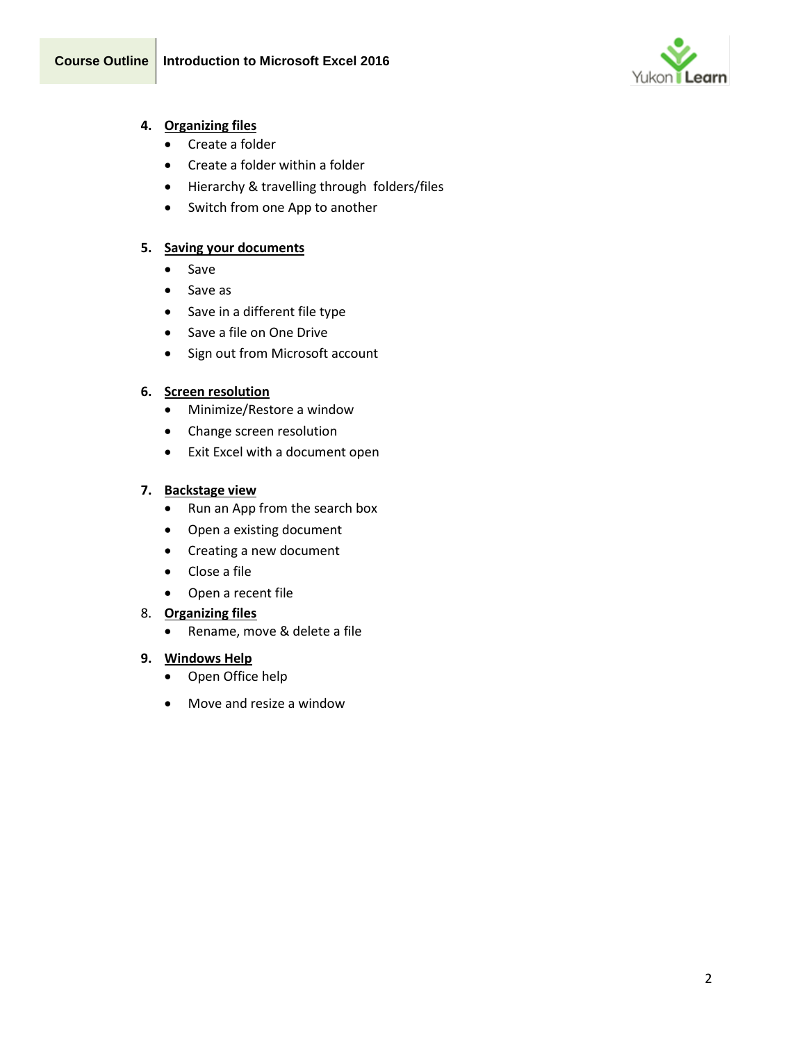

# **4. Organizing files**

- Create a folder
- Create a folder within a folder
- Hierarchy & travelling through folders/files
- Switch from one App to another

# **5. Saving your documents**

- Save
- Save as
- Save in a different file type
- Save a file on One Drive
- Sign out from Microsoft account

# **6. Screen resolution**

- Minimize/Restore a window
- Change screen resolution
- Exit Excel with a document open

# **7. Backstage view**

- Run an App from the search box
- Open a existing document
- Creating a new document
- Close a file
- Open a recent file

# 8. **Organizing files**

• Rename, move & delete a file

# **9. Windows Help**

- Open Office help
- Move and resize a window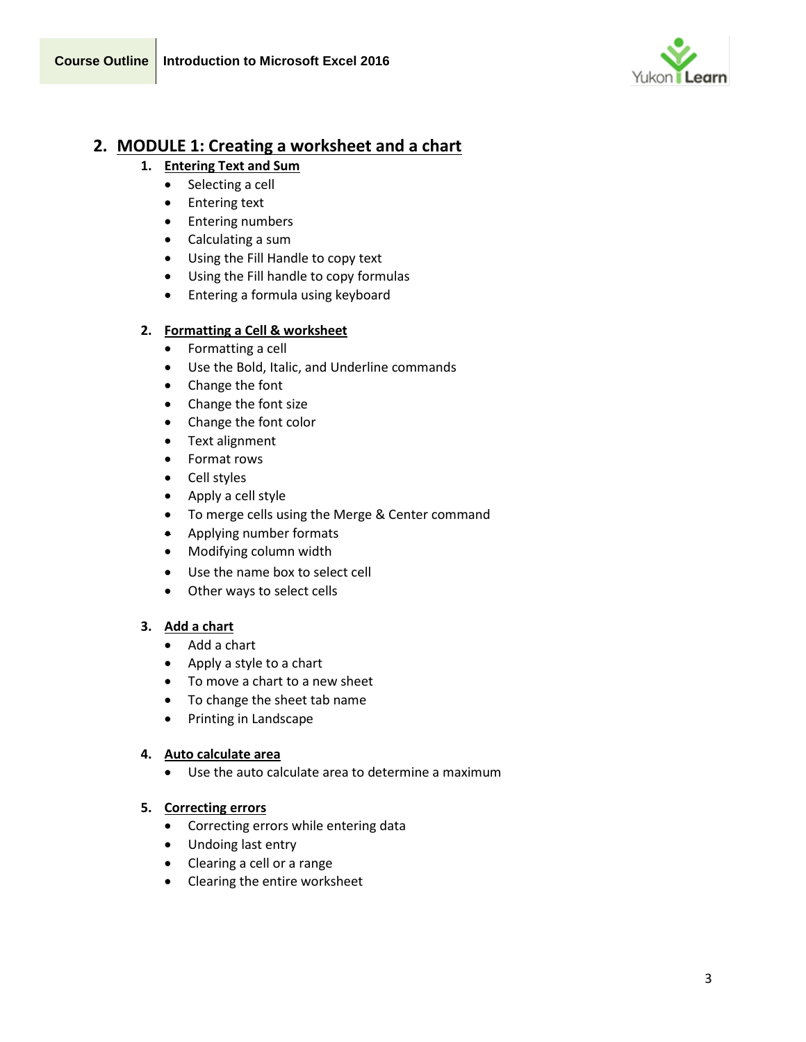

# **2. MODULE 1: Creating a worksheet and a chart**

- **1. Entering Text and Sum**
	- Selecting a cell
	- Entering text
	- Entering numbers
	- Calculating a sum
	- Using the Fill Handle to copy text
	- Using the Fill handle to copy formulas
	- Entering a formula using keyboard

# **2. Formatting a Cell & worksheet**

- Formatting a cell
- Use the Bold, Italic, and Underline commands
- Change the font
- Change the font size
- Change the font color
- Text alignment
- Format rows
- Cell styles
- Apply a cell style
- To merge cells using the Merge & Center command
- Applying number formats
- Modifying column width
- Use the name box to select cell
- Other ways to select cells

# **3. Add a chart**

- Add a chart
- Apply a style to a chart
- To move a chart to a new sheet
- To change the sheet tab name
- Printing in Landscape

# **4. Auto calculate area**

• Use the auto calculate area to determine a maximum

# **5. Correcting errors**

- Correcting errors while entering data
- Undoing last entry
- Clearing a cell or a range
- Clearing the entire worksheet